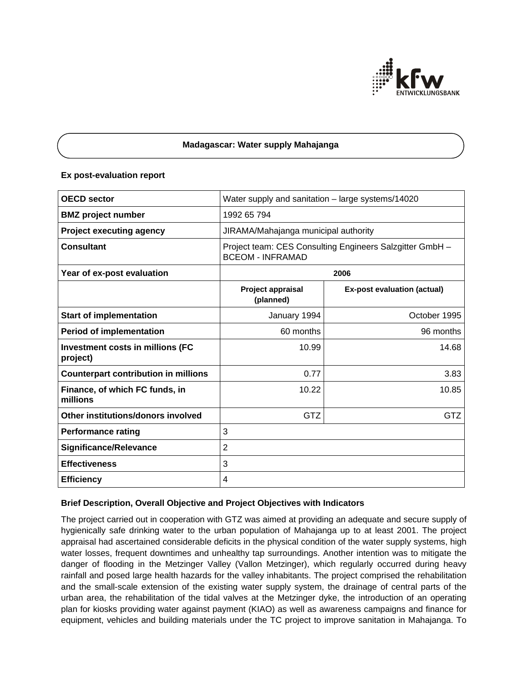

## **Madagascar: Water supply Mahajanga**

#### **Ex post-evaluation report**

| <b>OECD sector</b>                           | Water supply and sanitation - large systems/14020                                   |                                    |
|----------------------------------------------|-------------------------------------------------------------------------------------|------------------------------------|
| <b>BMZ</b> project number                    | 1992 65 794                                                                         |                                    |
| <b>Project executing agency</b>              | JIRAMA/Mahajanga municipal authority                                                |                                    |
| <b>Consultant</b>                            | Project team: CES Consulting Engineers Salzgitter GmbH -<br><b>BCEOM - INFRAMAD</b> |                                    |
| Year of ex-post evaluation                   | 2006                                                                                |                                    |
|                                              | Project appraisal<br>(planned)                                                      | <b>Ex-post evaluation (actual)</b> |
| <b>Start of implementation</b>               | January 1994                                                                        | October 1995                       |
| <b>Period of implementation</b>              | 60 months                                                                           | 96 months                          |
| Investment costs in millions (FC<br>project) | 10.99                                                                               | 14.68                              |
| <b>Counterpart contribution in millions</b>  | 0.77                                                                                | 3.83                               |
| Finance, of which FC funds, in<br>millions   | 10.22                                                                               | 10.85                              |
| Other institutions/donors involved           | GTZ                                                                                 | GTZ                                |
| <b>Performance rating</b>                    | 3                                                                                   |                                    |
| <b>Significance/Relevance</b>                | 2                                                                                   |                                    |
| <b>Effectiveness</b>                         | 3                                                                                   |                                    |
| <b>Efficiency</b>                            | 4                                                                                   |                                    |

# **Brief Description, Overall Objective and Project Objectives with Indicators**

The project carried out in cooperation with GTZ was aimed at providing an adequate and secure supply of hygienically safe drinking water to the urban population of Mahajanga up to at least 2001. The project appraisal had ascertained considerable deficits in the physical condition of the water supply systems, high water losses, frequent downtimes and unhealthy tap surroundings. Another intention was to mitigate the danger of flooding in the Metzinger Valley (Vallon Metzinger), which regularly occurred during heavy rainfall and posed large health hazards for the valley inhabitants. The project comprised the rehabilitation and the small-scale extension of the existing water supply system, the drainage of central parts of the urban area, the rehabilitation of the tidal valves at the Metzinger dyke, the introduction of an operating plan for kiosks providing water against payment (KIAO) as well as awareness campaigns and finance for equipment, vehicles and building materials under the TC project to improve sanitation in Mahajanga. To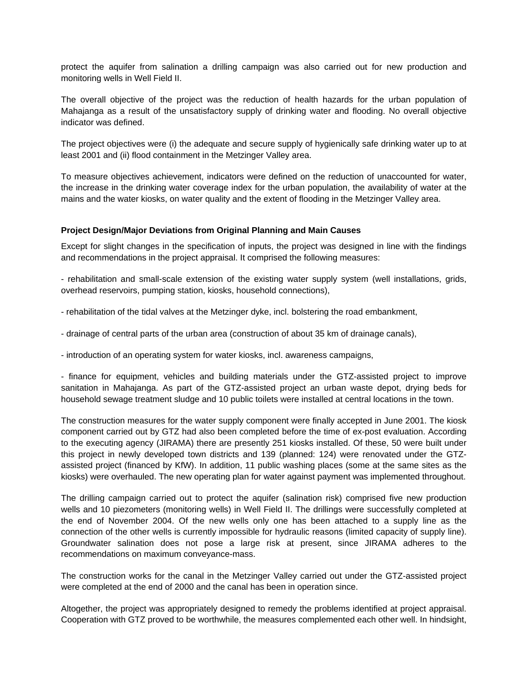protect the aquifer from salination a drilling campaign was also carried out for new production and monitoring wells in Well Field II.

The overall objective of the project was the reduction of health hazards for the urban population of Mahajanga as a result of the unsatisfactory supply of drinking water and flooding. No overall objective indicator was defined.

The project objectives were (i) the adequate and secure supply of hygienically safe drinking water up to at least 2001 and (ii) flood containment in the Metzinger Valley area.

To measure objectives achievement, indicators were defined on the reduction of unaccounted for water, the increase in the drinking water coverage index for the urban population, the availability of water at the mains and the water kiosks, on water quality and the extent of flooding in the Metzinger Valley area.

## **Project Design/Major Deviations from Original Planning and Main Causes**

Except for slight changes in the specification of inputs, the project was designed in line with the findings and recommendations in the project appraisal. It comprised the following measures:

- rehabilitation and small-scale extension of the existing water supply system (well installations, grids, overhead reservoirs, pumping station, kiosks, household connections),

- rehabilitation of the tidal valves at the Metzinger dyke, incl. bolstering the road embankment,

- drainage of central parts of the urban area (construction of about 35 km of drainage canals),

- introduction of an operating system for water kiosks, incl. awareness campaigns,

- finance for equipment, vehicles and building materials under the GTZ-assisted project to improve sanitation in Mahajanga. As part of the GTZ-assisted project an urban waste depot, drying beds for household sewage treatment sludge and 10 public toilets were installed at central locations in the town.

The construction measures for the water supply component were finally accepted in June 2001. The kiosk component carried out by GTZ had also been completed before the time of ex-post evaluation. According to the executing agency (JIRAMA) there are presently 251 kiosks installed. Of these, 50 were built under this project in newly developed town districts and 139 (planned: 124) were renovated under the GTZassisted project (financed by KfW). In addition, 11 public washing places (some at the same sites as the kiosks) were overhauled. The new operating plan for water against payment was implemented throughout.

The drilling campaign carried out to protect the aquifer (salination risk) comprised five new production wells and 10 piezometers (monitoring wells) in Well Field II. The drillings were successfully completed at the end of November 2004. Of the new wells only one has been attached to a supply line as the connection of the other wells is currently impossible for hydraulic reasons (limited capacity of supply line). Groundwater salination does not pose a large risk at present, since JIRAMA adheres to the recommendations on maximum conveyance-mass.

The construction works for the canal in the Metzinger Valley carried out under the GTZ-assisted project were completed at the end of 2000 and the canal has been in operation since.

Altogether, the project was appropriately designed to remedy the problems identified at project appraisal. Cooperation with GTZ proved to be worthwhile, the measures complemented each other well. In hindsight,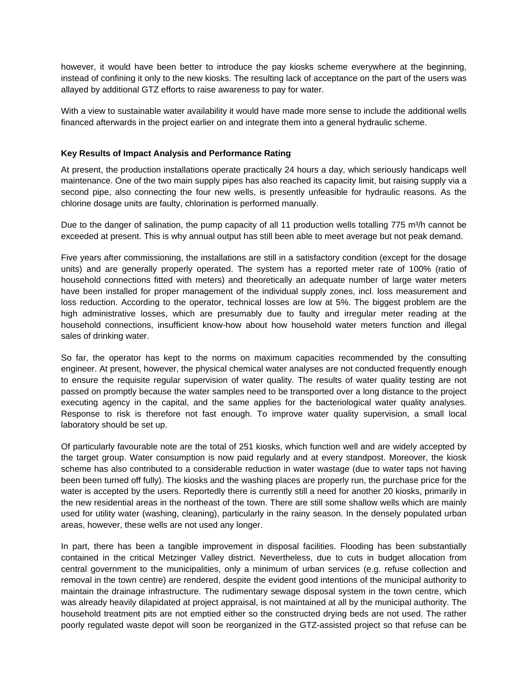however, it would have been better to introduce the pay kiosks scheme everywhere at the beginning, instead of confining it only to the new kiosks. The resulting lack of acceptance on the part of the users was allayed by additional GTZ efforts to raise awareness to pay for water.

With a view to sustainable water availability it would have made more sense to include the additional wells financed afterwards in the project earlier on and integrate them into a general hydraulic scheme.

## **Key Results of Impact Analysis and Performance Rating**

At present, the production installations operate practically 24 hours a day, which seriously handicaps well maintenance. One of the two main supply pipes has also reached its capacity limit, but raising supply via a second pipe, also connecting the four new wells, is presently unfeasible for hydraulic reasons. As the chlorine dosage units are faulty, chlorination is performed manually.

Due to the danger of salination, the pump capacity of all 11 production wells totalling 775 m<sup>3</sup>/h cannot be exceeded at present. This is why annual output has still been able to meet average but not peak demand.

Five years after commissioning, the installations are still in a satisfactory condition (except for the dosage units) and are generally properly operated. The system has a reported meter rate of 100% (ratio of household connections fitted with meters) and theoretically an adequate number of large water meters have been installed for proper management of the individual supply zones, incl. loss measurement and loss reduction. According to the operator, technical losses are low at 5%. The biggest problem are the high administrative losses, which are presumably due to faulty and irregular meter reading at the household connections, insufficient know-how about how household water meters function and illegal sales of drinking water.

So far, the operator has kept to the norms on maximum capacities recommended by the consulting engineer. At present, however, the physical chemical water analyses are not conducted frequently enough to ensure the requisite regular supervision of water quality. The results of water quality testing are not passed on promptly because the water samples need to be transported over a long distance to the project executing agency in the capital, and the same applies for the bacteriological water quality analyses. Response to risk is therefore not fast enough. To improve water quality supervision, a small local laboratory should be set up.

Of particularly favourable note are the total of 251 kiosks, which function well and are widely accepted by the target group. Water consumption is now paid regularly and at every standpost. Moreover, the kiosk scheme has also contributed to a considerable reduction in water wastage (due to water taps not having been been turned off fully). The kiosks and the washing places are properly run, the purchase price for the water is accepted by the users. Reportedly there is currently still a need for another 20 kiosks, primarily in the new residential areas in the northeast of the town. There are still some shallow wells which are mainly used for utility water (washing, cleaning), particularly in the rainy season. In the densely populated urban areas, however, these wells are not used any longer.

In part, there has been a tangible improvement in disposal facilities. Flooding has been substantially contained in the critical Metzinger Valley district. Nevertheless, due to cuts in budget allocation from central government to the municipalities, only a minimum of urban services (e.g. refuse collection and removal in the town centre) are rendered, despite the evident good intentions of the municipal authority to maintain the drainage infrastructure. The rudimentary sewage disposal system in the town centre, which was already heavily dilapidated at project appraisal, is not maintained at all by the municipal authority. The household treatment pits are not emptied either so the constructed drying beds are not used. The rather poorly regulated waste depot will soon be reorganized in the GTZ-assisted project so that refuse can be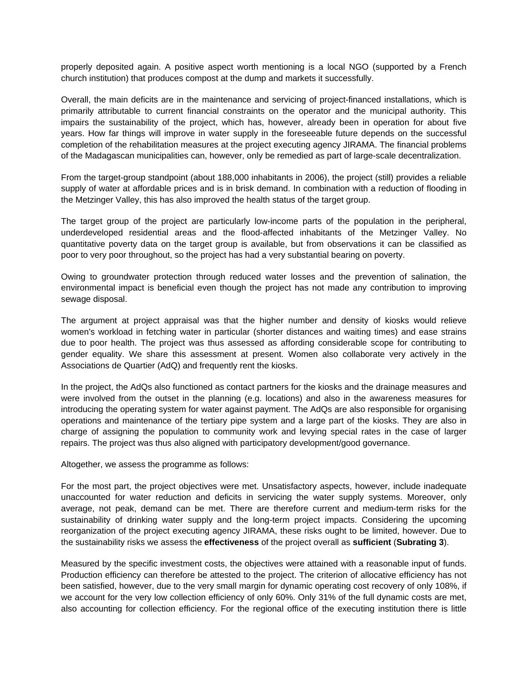properly deposited again. A positive aspect worth mentioning is a local NGO (supported by a French church institution) that produces compost at the dump and markets it successfully.

Overall, the main deficits are in the maintenance and servicing of project-financed installations, which is primarily attributable to current financial constraints on the operator and the municipal authority. This impairs the sustainability of the project, which has, however, already been in operation for about five years. How far things will improve in water supply in the foreseeable future depends on the successful completion of the rehabilitation measures at the project executing agency JIRAMA. The financial problems of the Madagascan municipalities can, however, only be remedied as part of large-scale decentralization.

From the target-group standpoint (about 188,000 inhabitants in 2006), the project (still) provides a reliable supply of water at affordable prices and is in brisk demand. In combination with a reduction of flooding in the Metzinger Valley, this has also improved the health status of the target group.

The target group of the project are particularly low-income parts of the population in the peripheral, underdeveloped residential areas and the flood-affected inhabitants of the Metzinger Valley. No quantitative poverty data on the target group is available, but from observations it can be classified as poor to very poor throughout, so the project has had a very substantial bearing on poverty.

Owing to groundwater protection through reduced water losses and the prevention of salination, the environmental impact is beneficial even though the project has not made any contribution to improving sewage disposal.

The argument at project appraisal was that the higher number and density of kiosks would relieve women's workload in fetching water in particular (shorter distances and waiting times) and ease strains due to poor health. The project was thus assessed as affording considerable scope for contributing to gender equality. We share this assessment at present. Women also collaborate very actively in the Associations de Quartier (AdQ) and frequently rent the kiosks.

In the project, the AdQs also functioned as contact partners for the kiosks and the drainage measures and were involved from the outset in the planning (e.g. locations) and also in the awareness measures for introducing the operating system for water against payment. The AdQs are also responsible for organising operations and maintenance of the tertiary pipe system and a large part of the kiosks. They are also in charge of assigning the population to community work and levying special rates in the case of larger repairs. The project was thus also aligned with participatory development/good governance.

Altogether, we assess the programme as follows:

For the most part, the project objectives were met. Unsatisfactory aspects, however, include inadequate unaccounted for water reduction and deficits in servicing the water supply systems. Moreover, only average, not peak, demand can be met. There are therefore current and medium-term risks for the sustainability of drinking water supply and the long-term project impacts. Considering the upcoming reorganization of the project executing agency JIRAMA, these risks ought to be limited, however. Due to the sustainability risks we assess the **effectiveness** of the project overall as **sufficient** (**Subrating 3**).

Measured by the specific investment costs, the objectives were attained with a reasonable input of funds. Production efficiency can therefore be attested to the project. The criterion of allocative efficiency has not been satisfied, however, due to the very small margin for dynamic operating cost recovery of only 108%, if we account for the very low collection efficiency of only 60%. Only 31% of the full dynamic costs are met, also accounting for collection efficiency. For the regional office of the executing institution there is little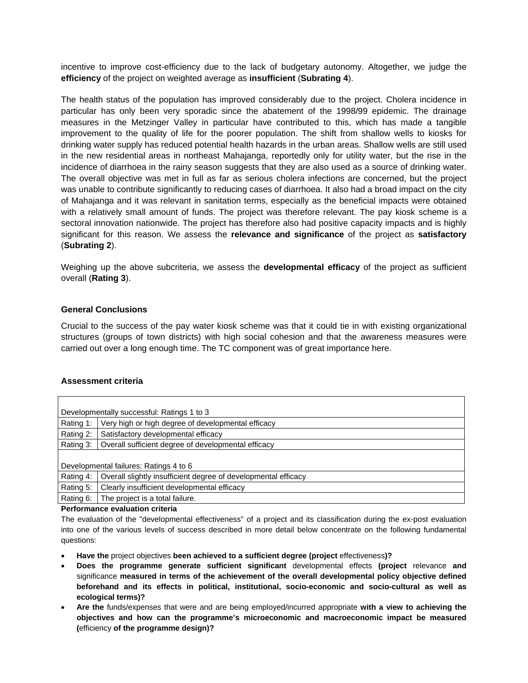incentive to improve cost-efficiency due to the lack of budgetary autonomy. Altogether, we judge the **efficiency** of the project on weighted average as **insufficient** (**Subrating 4**).

The health status of the population has improved considerably due to the project. Cholera incidence in particular has only been very sporadic since the abatement of the 1998/99 epidemic. The drainage measures in the Metzinger Valley in particular have contributed to this, which has made a tangible improvement to the quality of life for the poorer population. The shift from shallow wells to kiosks for drinking water supply has reduced potential health hazards in the urban areas. Shallow wells are still used in the new residential areas in northeast Mahajanga, reportedly only for utility water, but the rise in the incidence of diarrhoea in the rainy season suggests that they are also used as a source of drinking water. The overall objective was met in full as far as serious cholera infections are concerned, but the project was unable to contribute significantly to reducing cases of diarrhoea. It also had a broad impact on the city of Mahajanga and it was relevant in sanitation terms, especially as the beneficial impacts were obtained with a relatively small amount of funds. The project was therefore relevant. The pay kiosk scheme is a sectoral innovation nationwide. The project has therefore also had positive capacity impacts and is highly significant for this reason. We assess the **relevance and significance** of the project as **satisfactory**  (**Subrating 2**).

Weighing up the above subcriteria, we assess the **developmental efficacy** of the project as sufficient overall (**Rating 3**).

## **General Conclusions**

Crucial to the success of the pay water kiosk scheme was that it could tie in with existing organizational structures (groups of town districts) with high social cohesion and that the awareness measures were carried out over a long enough time. The TC component was of great importance here.

#### **Assessment criteria**

| Developmentally successful: Ratings 1 to 3 |                                                                |  |
|--------------------------------------------|----------------------------------------------------------------|--|
| Rating 1:                                  | Very high or high degree of developmental efficacy             |  |
| Rating 2:                                  | Satisfactory developmental efficacy                            |  |
| Rating 3:                                  | Overall sufficient degree of developmental efficacy            |  |
|                                            |                                                                |  |
| Developmental failures: Ratings 4 to 6     |                                                                |  |
| Rating 4:                                  | Overall slightly insufficient degree of developmental efficacy |  |
| Rating 5:                                  | Clearly insufficient developmental efficacy                    |  |
| Rating 6:                                  | The project is a total failure.                                |  |

**Performance evaluation criteria** 

The evaluation of the "developmental effectiveness" of a project and its classification during the ex-post evaluation into one of the various levels of success described in more detail below concentrate on the following fundamental questions:

- **Have the** project objectives **been achieved to a sufficient degree (project** effectiveness**)?**
- **Does the programme generate sufficient significant** developmental effects **(project** relevance **and** significance **measured in terms of the achievement of the overall developmental policy objective defined beforehand and its effects in political, institutional, socio-economic and socio-cultural as well as ecological terms)?**
- **Are the** funds/expenses that were and are being employed/incurred appropriate **with a view to achieving the objectives and how can the programme's microeconomic and macroeconomic impact be measured (**efficiency **of the programme design)?**